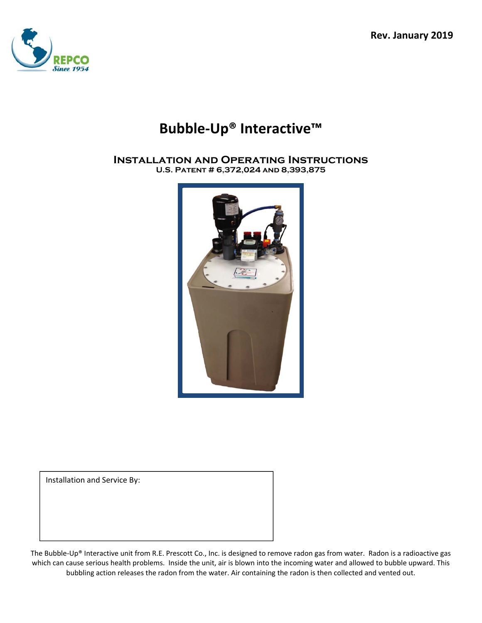**Rev. January 2019**



# **Bubble‐Up® Interactive™**

**Installation and Operating Instructions U.S. Patent # 6,372,024 and 8,393,875** 



Installation and Service By:

The Bubble-Up® Interactive unit from R.E. Prescott Co., Inc. is designed to remove radon gas from water. Radon is a radioactive gas which can cause serious health problems. Inside the unit, air is blown into the incoming water and allowed to bubble upward. This bubbling action releases the radon from the water. Air containing the radon is then collected and vented out.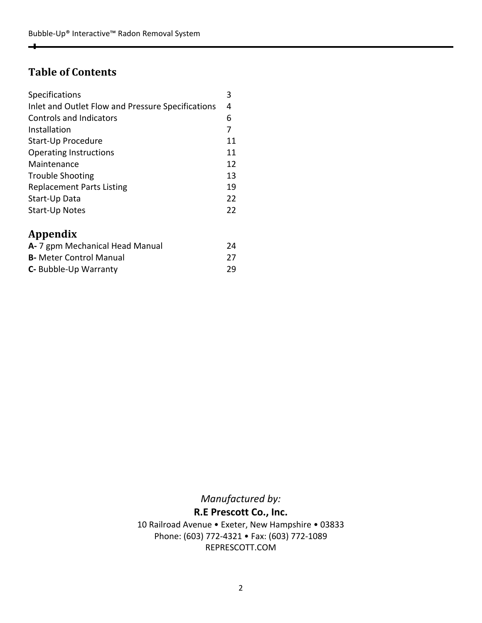# **Table of Contents**

 $\overline{\phantom{a}}$ 

| Specifications                                    | 3  |
|---------------------------------------------------|----|
| Inlet and Outlet Flow and Pressure Specifications | 4  |
| <b>Controls and Indicators</b>                    | 6  |
| Installation                                      | 7  |
| Start-Up Procedure                                | 11 |
| <b>Operating Instructions</b>                     | 11 |
| Maintenance                                       | 12 |
| <b>Trouble Shooting</b>                           | 13 |
| <b>Replacement Parts Listing</b>                  | 19 |
| Start-Up Data                                     | 22 |
| <b>Start-Up Notes</b>                             | 22 |
|                                                   |    |

# **Appendix**

| A-7 gpm Mechanical Head Manual | 24 |
|--------------------------------|----|
| <b>B-</b> Meter Control Manual | 27 |
| <b>C-</b> Bubble-Up Warranty   | 29 |

*Manufactured by:*

**R.E Prescott Co., Inc.**

10 Railroad Avenue • Exeter, New Hampshire • 03833 Phone: (603) 772‐4321 • Fax: (603) 772‐1089 REPRESCOTT.COM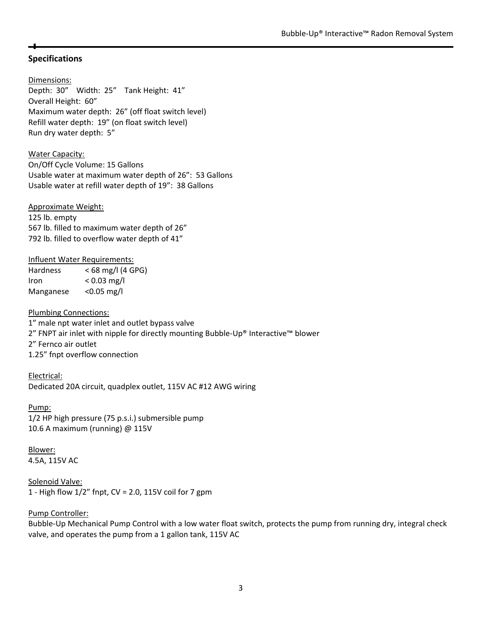#### **Specifications**

一

Dimensions: Depth: 30" Width: 25" Tank Height: 41" Overall Height: 60" Maximum water depth: 26" (off float switch level) Refill water depth: 19" (on float switch level) Run dry water depth: 5"

Water Capacity: On/Off Cycle Volume: 15 Gallons Usable water at maximum water depth of 26": 53 Gallons Usable water at refill water depth of 19": 38 Gallons

Approximate Weight: lb. empty lb. filled to maximum water depth of 26" lb. filled to overflow water depth of 41"

#### Influent Water Requirements:

Hardness < 68 mg/l (4 GPG)  $Iron \t 0.03 mg/l$ Manganese <0.05 mg/l

Plumbing Connections:

1" male npt water inlet and outlet bypass valve 2" FNPT air inlet with nipple for directly mounting Bubble-Up® Interactive™ blower 2" Fernco air outlet 1.25" fnpt overflow connection

Electrical: Dedicated 20A circuit, quadplex outlet, 115V AC #12 AWG wiring

Pump: 1/2 HP high pressure (75 p.s.i.) submersible pump 10.6 A maximum (running) @ 115V

Blower: 4.5A, 115V AC

Solenoid Valve: 1 ‐ High flow 1/2" fnpt, CV = 2.0, 115V coil for 7 gpm

#### Pump Controller:

Bubble-Up Mechanical Pump Control with a low water float switch, protects the pump from running dry, integral check valve, and operates the pump from a 1 gallon tank, 115V AC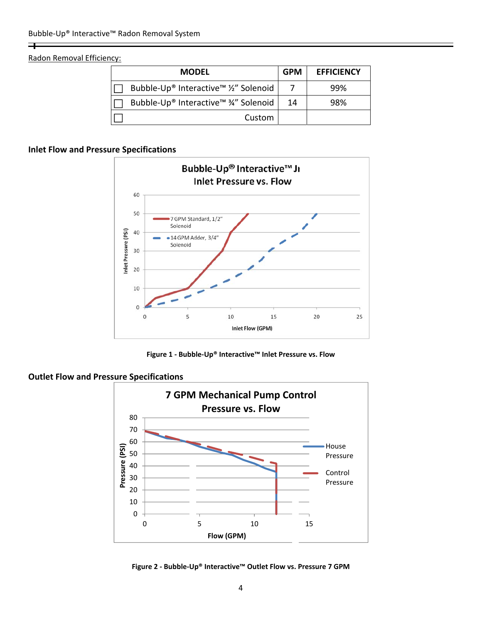#### Radon Removal Efficiency:

土

| <b>MODEL</b> |                                     | <b>GPM</b> | <b>EFFICIENCY</b> |
|--------------|-------------------------------------|------------|-------------------|
|              | Bubble-Up® Interactive™ ½" Solenoid |            | 99%               |
|              | Bubble-Up® Interactive™ ¾" Solenoid | 14         | 98%               |
|              | Custom                              |            |                   |

#### **Inlet Flow and Pressure Specifications**



**Figure 1 ‐ Bubble‐Up® Interactive™ Inlet Pressure vs. Flow**

#### **Outlet Flow and Pressure Specifications**



**Figure 2 ‐ Bubble‐Up® Interactive™ Outlet Flow vs. Pressure 7 GPM**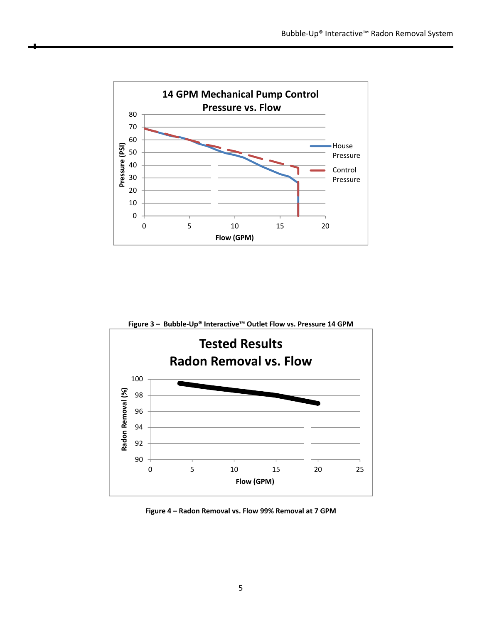



**Figure 4 – Radon Removal vs. Flow 99% Removal at 7 GPM**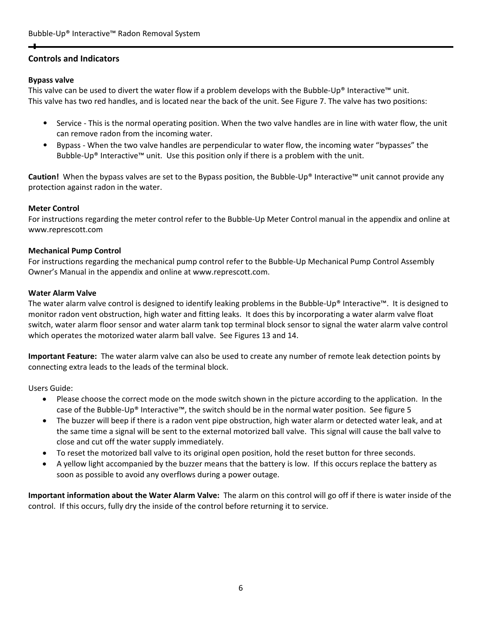#### **Controls and Indicators**

#### **Bypass valve**

 $\overline{\phantom{a}}$ 

This valve can be used to divert the water flow if a problem develops with the Bubble-Up® Interactive™ unit. This valve has two red handles, and is located near the back of the unit. See Figure 7. The valve has two positions:

- Service ‐ This is the normal operating position. When the two valve handles are in line with water flow, the unit can remove radon from the incoming water.
- Bypass ‐ When the two valve handles are perpendicular to water flow, the incoming water "bypasses" the Bubble-Up® Interactive™ unit. Use this position only if there is a problem with the unit.

**Caution!** When the bypass valves are set to the Bypass position, the Bubble‐Up® Interactive™ unit cannot provide any protection against radon in the water.

#### **Meter Control**

For instructions regarding the meter control refer to the Bubble‐Up Meter Control manual in the appendix and online at www.represcott.com

#### **Mechanical Pump Control**

For instructions regarding the mechanical pump control refer to the Bubble‐Up Mechanical Pump Control Assembly Owner's Manual in the appendix and online at www.represcott.com.

#### **Water Alarm Valve**

The water alarm valve control is designed to identify leaking problems in the Bubble‐Up® Interactive™. It is designed to monitor radon vent obstruction, high water and fitting leaks. It does this by incorporating a water alarm valve float switch, water alarm floor sensor and water alarm tank top terminal block sensor to signal the water alarm valve control which operates the motorized water alarm ball valve. See Figures 13 and 14.

**Important Feature:** The water alarm valve can also be used to create any number of remote leak detection points by connecting extra leads to the leads of the terminal block.

Users Guide:

- Please choose the correct mode on the mode switch shown in the picture according to the application. In the case of the Bubble‐Up® Interactive™, the switch should be in the normal water position. See figure 5
- The buzzer will beep if there is a radon vent pipe obstruction, high water alarm or detected water leak, and at the same time a signal will be sent to the external motorized ball valve. This signal will cause the ball valve to close and cut off the water supply immediately.
- To reset the motorized ball valve to its original open position, hold the reset button for three seconds.
- A yellow light accompanied by the buzzer means that the battery is low. If this occurs replace the battery as soon as possible to avoid any overflows during a power outage.

**Important information about the Water Alarm Valve:** The alarm on this control will go off if there is water inside of the control. If this occurs, fully dry the inside of the control before returning it to service.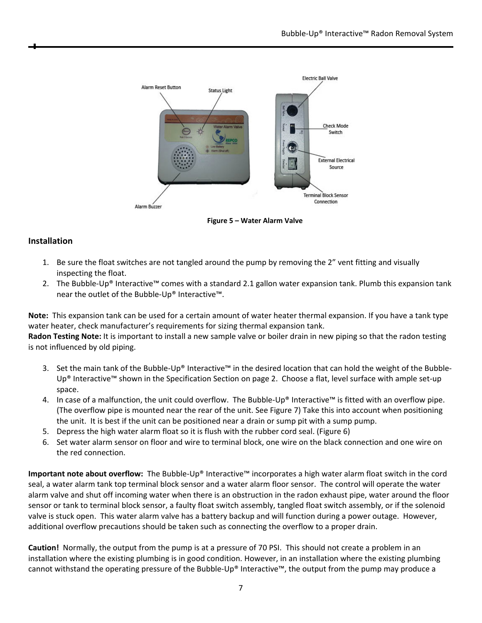

**Figure 5 – Water Alarm Valve**

#### **Installation**

- 1. Be sure the float switches are not tangled around the pump by removing the 2" vent fitting and visually inspecting the float.
- 2. The Bubble‐Up® Interactive™ comes with a standard 2.1 gallon water expansion tank. Plumb this expansion tank near the outlet of the Bubble‐Up® Interactive™.

**Note:** This expansion tank can be used for a certain amount of water heater thermal expansion. If you have a tank type water heater, check manufacturer's requirements for sizing thermal expansion tank.

**Radon Testing Note:** It is important to install a new sample valve or boiler drain in new piping so that the radon testing is not influenced by old piping.

- 3. Set the main tank of the Bubble‐Up® Interactive™ in the desired location that can hold the weight of the Bubble‐ Up® Interactive™ shown in the Specification Section on page 2. Choose a flat, level surface with ample set‐up space.
- 4. In case of a malfunction, the unit could overflow. The Bubble‐Up® Interactive™ is fitted with an overflow pipe. (The overflow pipe is mounted near the rear of the unit. See Figure 7) Take this into account when positioning the unit. It is best if the unit can be positioned near a drain or sump pit with a sump pump.
- 5. Depress the high water alarm float so it is flush with the rubber cord seal. (Figure 6)
- 6. Set water alarm sensor on floor and wire to terminal block, one wire on the black connection and one wire on the red connection.

**Important note about overflow:** The Bubble‐Up® Interactive™ incorporates a high water alarm float switch in the cord seal, a water alarm tank top terminal block sensor and a water alarm floor sensor. The control will operate the water alarm valve and shut off incoming water when there is an obstruction in the radon exhaust pipe, water around the floor sensor or tank to terminal block sensor, a faulty float switch assembly, tangled float switch assembly, or if the solenoid valve is stuck open. This water alarm valve has a battery backup and will function during a power outage. However, additional overflow precautions should be taken such as connecting the overflow to a proper drain.

**Caution!** Normally, the output from the pump is at a pressure of 70 PSI. This should not create a problem in an installation where the existing plumbing is in good condition. However, in an installation where the existing plumbing cannot withstand the operating pressure of the Bubble‐Up® Interactive™, the output from the pump may produce a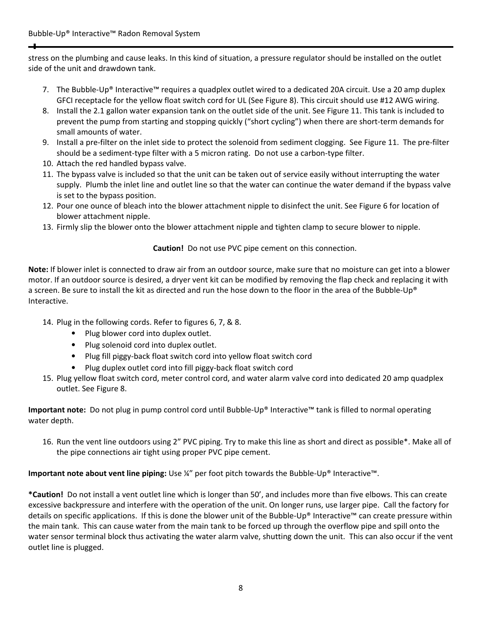ᆠ

stress on the plumbing and cause leaks. In this kind of situation, a pressure regulator should be installed on the outlet side of the unit and drawdown tank.

- 7. The Bubble-Up® Interactive™ requires a quadplex outlet wired to a dedicated 20A circuit. Use a 20 amp duplex GFCI receptacle for the yellow float switch cord for UL (See Figure 8). This circuit should use #12 AWG wiring.
- 8. Install the 2.1 gallon water expansion tank on the outlet side of the unit. See Figure 11. This tank is included to prevent the pump from starting and stopping quickly ("short cycling") when there are short‐term demands for small amounts of water.
- 9. Install a pre-filter on the inlet side to protect the solenoid from sediment clogging. See Figure 11. The pre-filter should be a sediment‐type filter with a 5 micron rating. Do not use a carbon‐type filter.
- 10. Attach the red handled bypass valve.
- 11. The bypass valve is included so that the unit can be taken out of service easily without interrupting the water supply. Plumb the inlet line and outlet line so that the water can continue the water demand if the bypass valve is set to the bypass position.
- 12. Pour one ounce of bleach into the blower attachment nipple to disinfect the unit. See Figure 6 for location of blower attachment nipple.
- 13. Firmly slip the blower onto the blower attachment nipple and tighten clamp to secure blower to nipple.

**Caution!** Do not use PVC pipe cement on this connection.

**Note:** If blower inlet is connected to draw air from an outdoor source, make sure that no moisture can get into a blower motor. If an outdoor source is desired, a dryer vent kit can be modified by removing the flap check and replacing it with a screen. Be sure to install the kit as directed and run the hose down to the floor in the area of the Bubble-Up® Interactive.

- 14. Plug in the following cords. Refer to figures 6, 7, & 8.
	- Plug blower cord into duplex outlet.
	- Plug solenoid cord into duplex outlet.
	- Plug fill piggy‐back float switch cord into yellow float switch cord
	- Plug duplex outlet cord into fill piggy‐back float switch cord
- 15. Plug yellow float switch cord, meter control cord, and water alarm valve cord into dedicated 20 amp quadplex outlet. See Figure 8.

**Important note:** Do not plug in pump control cord until Bubble‐Up® Interactive™ tank is filled to normal operating water depth.

16. Run the vent line outdoors using 2" PVC piping. Try to make this line as short and direct as possible\*. Make all of the pipe connections air tight using proper PVC pipe cement.

**Important note about vent line piping:** Use ¼" per foot pitch towards the Bubble‐Up® Interactive™.

**\*Caution!** Do not install a vent outlet line which is longer than 50', and includes more than five elbows. This can create excessive backpressure and interfere with the operation of the unit. On longer runs, use larger pipe. Call the factory for details on specific applications. If this is done the blower unit of the Bubble‐Up® Interactive™ can create pressure within the main tank. This can cause water from the main tank to be forced up through the overflow pipe and spill onto the water sensor terminal block thus activating the water alarm valve, shutting down the unit. This can also occur if the vent outlet line is plugged.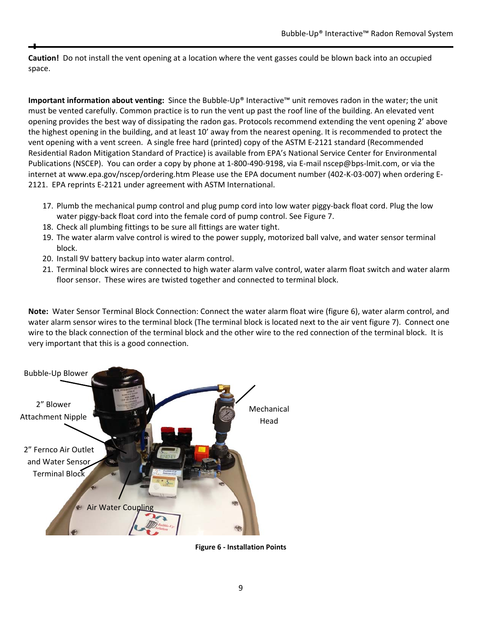**Caution!** Do not install the vent opening at a location where the vent gasses could be blown back into an occupied space.

**Important information about venting:** Since the Bubble‐Up® Interactive™ unit removes radon in the water; the unit must be vented carefully. Common practice is to run the vent up past the roof line of the building. An elevated vent opening provides the best way of dissipating the radon gas. Protocols recommend extending the vent opening 2' above the highest opening in the building, and at least 10' away from the nearest opening. It is recommended to protect the vent opening with a vent screen. A single free hard (printed) copy of the ASTM E‐2121 standard (Recommended Residential Radon Mitigation Standard of Practice) is available from EPA's National Service Center for Environmental Publications (NSCEP). You can order a copy by phone at 1‐800‐490‐9198, via E‐mail nscep@bps‐lmit.com, or via the internet at www.epa.gov/nscep/ordering.htm Please use the EPA document number (402‐K‐03‐007) when ordering E‐ 2121. EPA reprints E‐2121 under agreement with ASTM International.

- 17. Plumb the mechanical pump control and plug pump cord into low water piggy‐back float cord. Plug the low water piggy-back float cord into the female cord of pump control. See Figure 7.
- 18. Check all plumbing fittings to be sure all fittings are water tight.
- 19. The water alarm valve control is wired to the power supply, motorized ball valve, and water sensor terminal block.
- 20. Install 9V battery backup into water alarm control.
- 21. Terminal block wires are connected to high water alarm valve control, water alarm float switch and water alarm floor sensor. These wires are twisted together and connected to terminal block.

**Note:** Water Sensor Terminal Block Connection: Connect the water alarm float wire (figure 6), water alarm control, and water alarm sensor wires to the terminal block (The terminal block is located next to the air vent figure 7). Connect one wire to the black connection of the terminal block and the other wire to the red connection of the terminal block. It is very important that this is a good connection.



**Figure 6 ‐ Installation Points**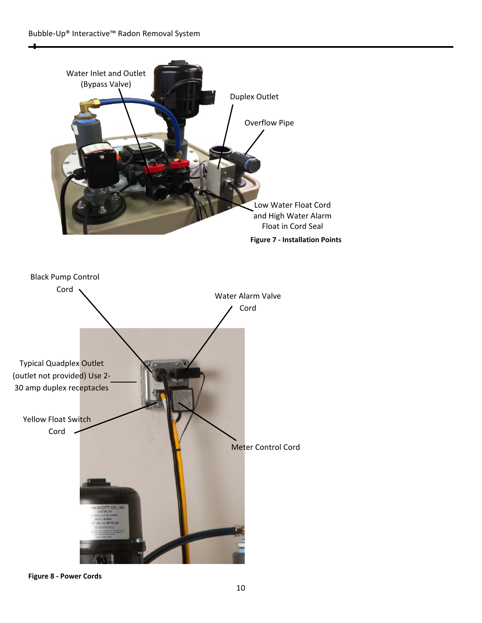

**Figure 8 ‐ Power Cords**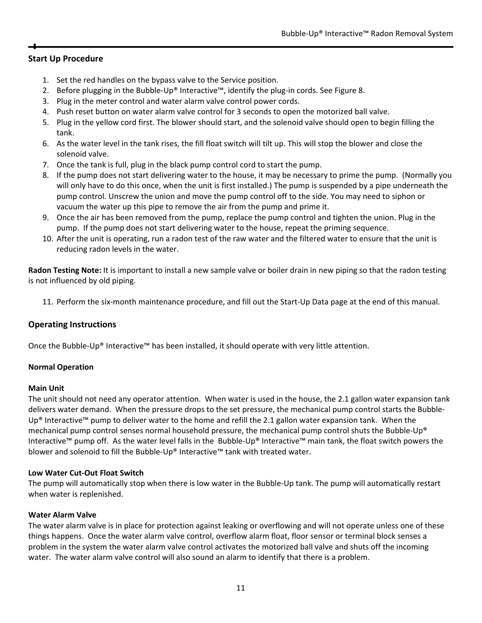#### **Start Up Procedure**

- 1. Set the red handles on the bypass valve to the Service position.
- 2. Before plugging in the Bubble-Up® Interactive™, identify the plug-in cords. See Figure 8.
- 3. Plug in the meter control and water alarm valve control power cords.
- 4. Push reset button on water alarm valve control for 3 seconds to open the motorized ball valve.
- 5. Plug in the yellow cord first. The blower should start, and the solenoid valve should open to begin filling the tank.
- 6. As the water level in the tank rises, the fill float switch will tilt up. This will stop the blower and close the solenoid valve.
- 7. Once the tank is full, plug in the black pump control cord to start the pump.
- 8. If the pump does not start delivering water to the house, it may be necessary to prime the pump. (Normally you will only have to do this once, when the unit is first installed.) The pump is suspended by a pipe underneath the pump control. Unscrew the union and move the pump control off to the side. You may need to siphon or vacuum the water up this pipe to remove the air from the pump and prime it.
- 9. Once the air has been removed from the pump, replace the pump control and tighten the union. Plug in the pump. If the pump does not start delivering water to the house, repeat the priming sequence.
- 10. After the unit is operating, run a radon test of the raw water and the filtered water to ensure that the unit is reducing radon levels in the water.

**Radon Testing Note:** It is important to install a new sample valve or boiler drain in new piping so that the radon testing is not influenced by old piping.

11. Perform the six‐month maintenance procedure, and fill out the Start‐Up Data page at the end of this manual.

#### **Operating Instructions**

Once the Bubble-Up® Interactive™ has been installed, it should operate with very little attention.

#### **Normal Operation**

#### **Main Unit**

The unit should not need any operator attention. When water is used in the house, the 2.1 gallon water expansion tank delivers water demand. When the pressure drops to the set pressure, the mechanical pump control starts the Bubble‐ Up® Interactive™ pump to deliver water to the home and refill the 2.1 gallon water expansion tank. When the mechanical pump control senses normal household pressure, the mechanical pump control shuts the Bubble‐Up® Interactive™ pump off. As the water level falls in the Bubble‐Up® Interactive™ main tank, the float switch powers the blower and solenoid to fill the Bubble‐Up® Interactive™ tank with treated water.

#### **Low Water Cut‐Out Float Switch**

The pump will automatically stop when there is low water in the Bubble‐Up tank. The pump will automatically restart when water is replenished.

#### **Water Alarm Valve**

The water alarm valve is in place for protection against leaking or overflowing and will not operate unless one of these things happens. Once the water alarm valve control, overflow alarm float, floor sensor or terminal block senses a problem in the system the water alarm valve control activates the motorized ball valve and shuts off the incoming water. The water alarm valve control will also sound an alarm to identify that there is a problem.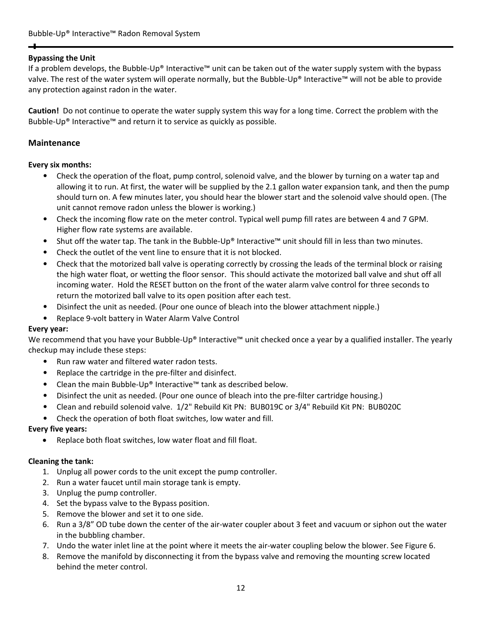#### **Bypassing the Unit**

 $\overline{\phantom{a}}$ 

If a problem develops, the Bubble‐Up® Interactive™ unit can be taken out of the water supply system with the bypass valve. The rest of the water system will operate normally, but the Bubble-Up® Interactive™ will not be able to provide any protection against radon in the water.

**Caution!** Do not continue to operate the water supply system this way for a long time. Correct the problem with the Bubble‐Up® Interactive™ and return it to service as quickly as possible.

#### **Maintenance**

#### **Every six months:**

- Check the operation of the float, pump control, solenoid valve, and the blower by turning on a water tap and allowing it to run. At first, the water will be supplied by the 2.1 gallon water expansion tank, and then the pump should turn on. A few minutes later, you should hear the blower start and the solenoid valve should open. (The unit cannot remove radon unless the blower is working.)
- Check the incoming flow rate on the meter control. Typical well pump fill rates are between 4 and 7 GPM. Higher flow rate systems are available.
- Shut off the water tap. The tank in the Bubble‐Up® Interactive™ unit should fill in less than two minutes.
- Check the outlet of the vent line to ensure that it is not blocked.
- Check that the motorized ball valve is operating correctly by crossing the leads of the terminal block or raising the high water float, or wetting the floor sensor. This should activate the motorized ball valve and shut off all incoming water. Hold the RESET button on the front of the water alarm valve control for three seconds to return the motorized ball valve to its open position after each test.
- Disinfect the unit as needed. (Pour one ounce of bleach into the blower attachment nipple.)
- Replace 9‐volt battery in Water Alarm Valve Control

#### **Every year:**

We recommend that you have your Bubble-Up® Interactive™ unit checked once a year by a qualified installer. The yearly checkup may include these steps:

- Run raw water and filtered water radon tests.
- Replace the cartridge in the pre‐filter and disinfect.
- Clean the main Bubble-Up® Interactive™ tank as described below.
- Disinfect the unit as needed. (Pour one ounce of bleach into the pre-filter cartridge housing.)
- Clean and rebuild solenoid valve. 1/2" Rebuild Kit PN: BUB019C or 3/4" Rebuild Kit PN: BUB020C
- Check the operation of both float switches, low water and fill.

#### **Every five years:**

Replace both float switches, low water float and fill float.

#### **Cleaning the tank:**

- 1. Unplug all power cords to the unit except the pump controller.
- 2. Run a water faucet until main storage tank is empty.
- 3. Unplug the pump controller.
- 4. Set the bypass valve to the Bypass position.
- 5. Remove the blower and set it to one side.
- 6. Run a 3/8" OD tube down the center of the air-water coupler about 3 feet and vacuum or siphon out the water in the bubbling chamber.
- 7. Undo the water inlet line at the point where it meets the air‐water coupling below the blower. See Figure 6.
- 8. Remove the manifold by disconnecting it from the bypass valve and removing the mounting screw located behind the meter control.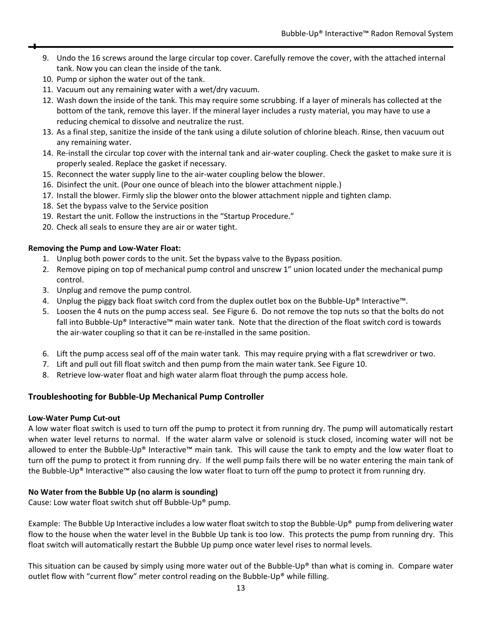- 9. Undo the 16 screws around the large circular top cover. Carefully remove the cover, with the attached internal tank. Now you can clean the inside of the tank.
- 10. Pump or siphon the water out of the tank.
- 11. Vacuum out any remaining water with a wet/dry vacuum.
- 12. Wash down the inside of the tank. This may require some scrubbing. If a layer of minerals has collected at the bottom of the tank, remove this layer. If the mineral layer includes a rusty material, you may have to use a reducing chemical to dissolve and neutralize the rust.
- 13. As a final step, sanitize the inside of the tank using a dilute solution of chlorine bleach. Rinse, then vacuum out any remaining water.
- 14. Re-install the circular top cover with the internal tank and air-water coupling. Check the gasket to make sure it is properly sealed. Replace the gasket if necessary.
- 15. Reconnect the water supply line to the air-water coupling below the blower.
- 16. Disinfect the unit. (Pour one ounce of bleach into the blower attachment nipple.)
- 17. Install the blower. Firmly slip the blower onto the blower attachment nipple and tighten clamp.
- 18. Set the bypass valve to the Service position
- 19. Restart the unit. Follow the instructions in the "Startup Procedure."
- 20. Check all seals to ensure they are air or water tight.

#### **Removing the Pump and Low‐Water Float:**

- 1. Unplug both power cords to the unit. Set the bypass valve to the Bypass position.
- 2. Remove piping on top of mechanical pump control and unscrew 1" union located under the mechanical pump control.
- 3. Unplug and remove the pump control.
- 4. Unplug the piggy back float switch cord from the duplex outlet box on the Bubble‐Up® Interactive™.
- 5. Loosen the 4 nuts on the pump access seal. See Figure 6. Do not remove the top nuts so that the bolts do not fall into Bubble‐Up® Interactive™ main water tank. Note that the direction of the float switch cord is towards the air‐water coupling so that it can be re‐installed in the same position.
- 6. Lift the pump access seal off of the main water tank. This may require prying with a flat screwdriver or two.
- 7. Lift and pull out fill float switch and then pump from the main water tank. See Figure 10.
- 8. Retrieve low‐water float and high water alarm float through the pump access hole.

#### **Troubleshooting for Bubble‐Up Mechanical Pump Controller**

#### **Low‐Water Pump Cut‐out**

A low water float switch is used to turn off the pump to protect it from running dry. The pump will automatically restart when water level returns to normal. If the water alarm valve or solenoid is stuck closed, incoming water will not be allowed to enter the Bubble‐Up® Interactive™ main tank. This will cause the tank to empty and the low water float to turn off the pump to protect it from running dry. If the well pump fails there will be no water entering the main tank of the Bubble-Up® Interactive™ also causing the low water float to turn off the pump to protect it from running dry.

#### **No Water from the Bubble Up (no alarm is sounding)**

Cause: Low water float switch shut off Bubble‐Up® pump.

Example: The Bubble Up Interactive includes a low water floatswitch to stop the Bubble‐Up® pump from delivering water flow to the house when the water level in the Bubble Up tank is too low. This protects the pump from running dry. This float switch will automatically restart the Bubble Up pump once water level rises to normal levels.

This situation can be caused by simply using more water out of the Bubble-Up® than what is coming in. Compare water outlet flow with "current flow" meter control reading on the Bubble-Up® while filling.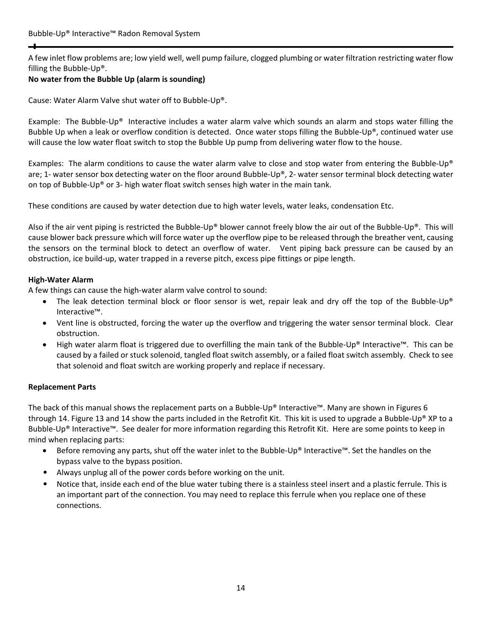A few inlet flow problems are; low yield well, well pump failure, clogged plumbing or water filtration restricting water flow filling the Bubble‐Up®.

#### **No water from the Bubble Up (alarm is sounding)**

Cause: Water Alarm Valve shut water off to Bubble‐Up®.

Example: The Bubble‐Up® Interactive includes a water alarm valve which sounds an alarm and stops water filling the Bubble Up when a leak or overflow condition is detected. Once water stops filling the Bubble-Up®, continued water use will cause the low water float switch to stop the Bubble Up pump from delivering water flow to the house.

Examples: The alarm conditions to cause the water alarm valve to close and stop water from entering the Bubble-Up® are; 1- water sensor box detecting water on the floor around Bubble-Up®, 2- water sensor terminal block detecting water on top of Bubble-Up® or 3- high water float switch senses high water in the main tank.

These conditions are caused by water detection due to high water levels, water leaks, condensation Etc.

Also if the air vent piping is restricted the Bubble-Up<sup>®</sup> blower cannot freely blow the air out of the Bubble-Up<sup>®</sup>. This will cause blower back pressure which will force water up the overflow pipe to be released through the breather vent, causing the sensors on the terminal block to detect an overflow of water. Vent piping back pressure can be caused by an obstruction, ice build‐up, water trapped in a reverse pitch, excess pipe fittings or pipe length.

#### **High‐Water Alarm**

ᆠ

A few things can cause the high‐water alarm valve control to sound:

- The leak detection terminal block or floor sensor is wet, repair leak and dry off the top of the Bubble-Up® Interactive™.
- Vent line is obstructed, forcing the water up the overflow and triggering the water sensor terminal block. Clear obstruction.
- High water alarm float is triggered due to overfilling the main tank of the Bubble‐Up® Interactive™. This can be caused by a failed or stuck solenoid, tangled float switch assembly, or a failed float switch assembly. Check to see that solenoid and float switch are working properly and replace if necessary.

#### **Replacement Parts**

The back of this manual shows the replacement parts on a Bubble‐Up® Interactive™. Many are shown in Figures 6 through 14. Figure 13 and 14 show the parts included in the Retrofit Kit. This kit is used to upgrade a Bubble‐Up® XP to a Bubble‐Up® Interactive™. See dealer for more information regarding this Retrofit Kit. Here are some points to keep in mind when replacing parts:

- Before removing any parts, shut off the water inlet to the Bubble-Up® Interactive™. Set the handles on the bypass valve to the bypass position.
- Always unplug all of the power cords before working on the unit.
- Notice that, inside each end of the blue water tubing there is a stainless steel insert and a plastic ferrule. This is an important part of the connection. You may need to replace this ferrule when you replace one of these connections.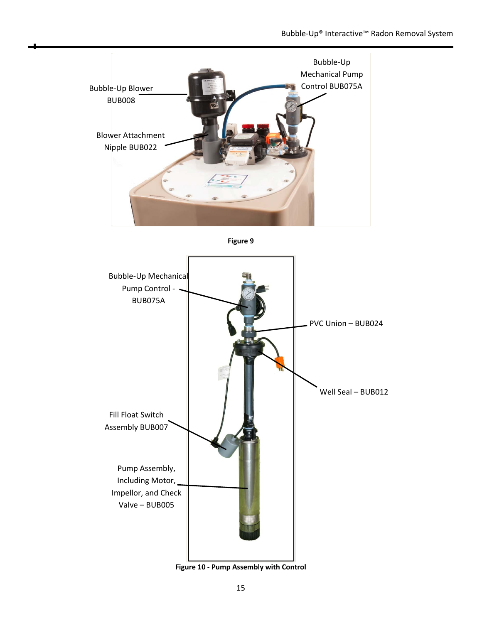

**Figure 9**



**Figure 10 ‐ Pump Assembly with Control**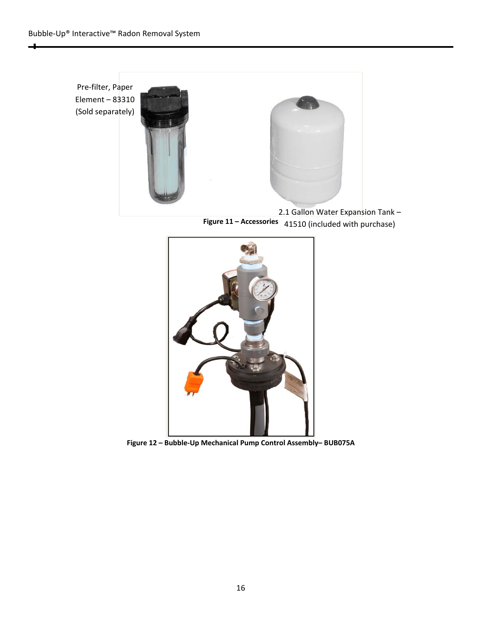$\overline{\phantom{0}}$ 





**Figure 12 – Bubble‐Up Mechanical Pump Control Assembly– BUB075A**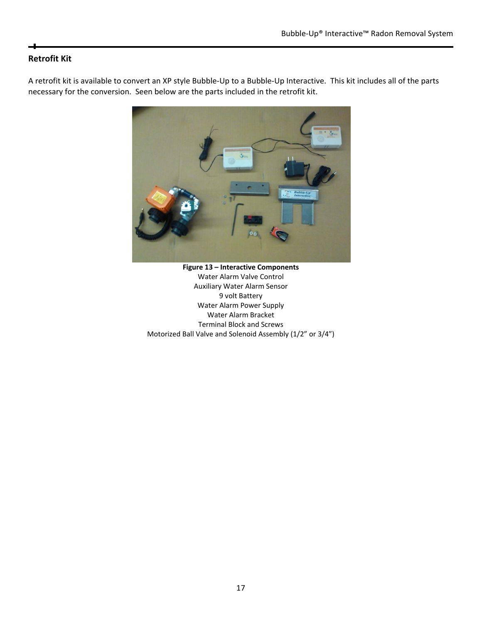### **Retrofit Kit**

 $\rightarrow$ 

A retrofit kit is available to convert an XP style Bubble‐Up to a Bubble‐Up Interactive. This kit includes all of the parts necessary for the conversion. Seen below are the parts included in the retrofit kit.



**Figure 13 – Interactive Components** Water Alarm Valve Control Auxiliary Water Alarm Sensor 9 volt Battery Water Alarm Power Supply Water Alarm Bracket Terminal Block and Screws Motorized Ball Valve and Solenoid Assembly (1/2" or 3/4")

17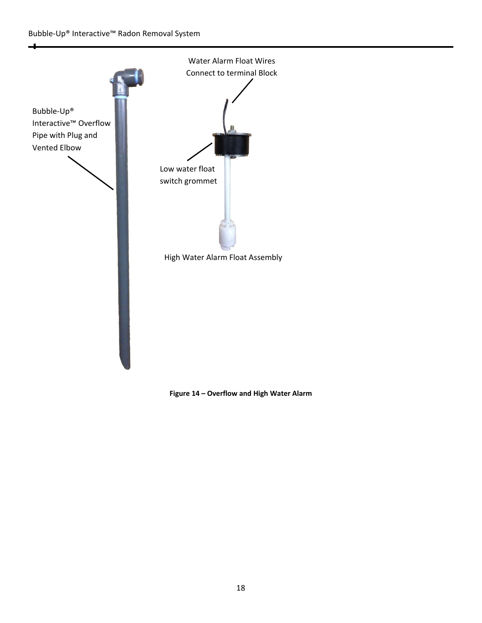

**Figure 14 – Overflow and High Water Alarm**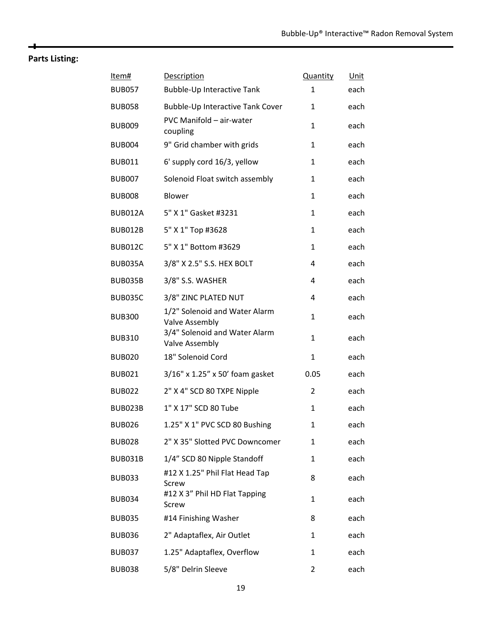# **Parts Listing:**

 $\begin{tabular}{c} \top \end{tabular}$ 

| ltem#          | Description                                            | Quantity     | <u>Unit</u> |
|----------------|--------------------------------------------------------|--------------|-------------|
| <b>BUB057</b>  | Bubble-Up Interactive Tank                             | $\mathbf{1}$ | each        |
| <b>BUB058</b>  | Bubble-Up Interactive Tank Cover                       | $\mathbf{1}$ | each        |
| <b>BUB009</b>  | PVC Manifold - air-water<br>coupling                   | $\mathbf{1}$ | each        |
| <b>BUB004</b>  | 9" Grid chamber with grids                             | $\mathbf{1}$ | each        |
| <b>BUB011</b>  | 6' supply cord 16/3, yellow                            | 1            | each        |
| <b>BUB007</b>  | Solenoid Float switch assembly                         | 1            | each        |
| <b>BUB008</b>  | Blower                                                 | $\mathbf{1}$ | each        |
| <b>BUB012A</b> | 5" X 1" Gasket #3231                                   | $\mathbf{1}$ | each        |
| <b>BUB012B</b> | 5" X 1" Top #3628                                      | $\mathbf{1}$ | each        |
| <b>BUB012C</b> | 5" X 1" Bottom #3629                                   | $\mathbf{1}$ | each        |
| BUB035A        | 3/8" X 2.5" S.S. HEX BOLT                              | 4            | each        |
| <b>BUB035B</b> | 3/8" S.S. WASHER                                       | 4            | each        |
| BUB035C        | 3/8" ZINC PLATED NUT                                   | 4            | each        |
| <b>BUB300</b>  | 1/2" Solenoid and Water Alarm<br>Valve Assembly        | 1            | each        |
| <b>BUB310</b>  | 3/4" Solenoid and Water Alarm<br><b>Valve Assembly</b> | $\mathbf{1}$ | each        |
| <b>BUB020</b>  | 18" Solenoid Cord                                      | $\mathbf{1}$ | each        |
| <b>BUB021</b>  | $3/16"$ x 1.25" x 50' foam gasket                      | 0.05         | each        |
| <b>BUB022</b>  | 2" X 4" SCD 80 TXPE Nipple                             | 2            | each        |
| BUB023B        | 1" X 17" SCD 80 Tube                                   | 1            | each        |
| <b>BUB026</b>  | 1.25" X 1" PVC SCD 80 Bushing                          | 1            | each        |
| <b>BUB028</b>  | 2" X 35" Slotted PVC Downcomer                         | 1            | each        |
| <b>BUB031B</b> | 1/4" SCD 80 Nipple Standoff                            | 1            | each        |
| <b>BUB033</b>  | #12 X 1.25" Phil Flat Head Tap<br>Screw                | 8            | each        |
| <b>BUB034</b>  | #12 X 3" Phil HD Flat Tapping<br>Screw                 | 1            | each        |
| <b>BUB035</b>  | #14 Finishing Washer                                   | 8            | each        |
| BUB036         | 2" Adaptaflex, Air Outlet                              | 1            | each        |
| <b>BUB037</b>  | 1.25" Adaptaflex, Overflow                             | 1            | each        |
| <b>BUB038</b>  | 5/8" Delrin Sleeve                                     | 2            | each        |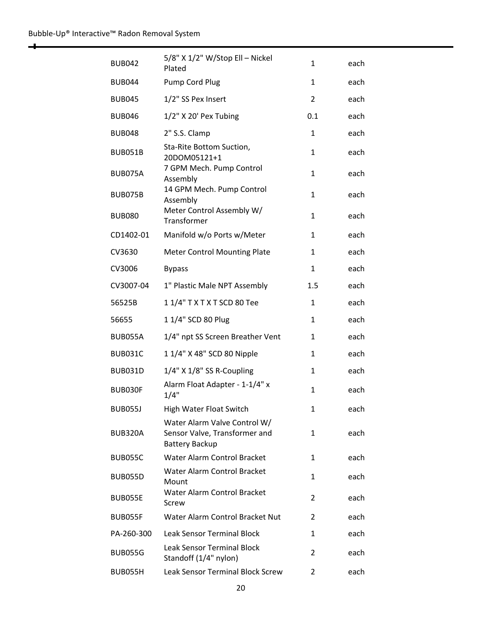$\begin{tabular}{c} \multicolumn{2}{c} {\textbf{1}} & \multicolumn{2}{c} {\textbf{1}} & \multicolumn{2}{c} {\textbf{1}} \\ \multicolumn{2}{c} {\textbf{2}} & \multicolumn{2}{c} {\textbf{3}} & \multicolumn{2}{c} {\textbf{4}} & \multicolumn{2}{c} {\textbf{5}} \\ \multicolumn{2}{c} {\textbf{4}} & \multicolumn{2}{c} {\textbf{5}} & \multicolumn{2}{c} {\textbf{6}} & \multicolumn{2}{c} {\textbf{6}} & \multicolumn{2}{c} {\textbf{7}} \\ \multicolumn{2}{c} {\textbf{5}} & \multicolumn$ 

| <b>BUB042</b>  | 5/8" X 1/2" W/Stop Ell - Nickel<br>Plated                                              | 1              | each |
|----------------|----------------------------------------------------------------------------------------|----------------|------|
| <b>BUB044</b>  | Pump Cord Plug                                                                         | $\mathbf{1}$   | each |
| <b>BUB045</b>  | 1/2" SS Pex Insert                                                                     | $\overline{2}$ | each |
| <b>BUB046</b>  | 1/2" X 20' Pex Tubing                                                                  | 0.1            | each |
| <b>BUB048</b>  | 2" S.S. Clamp                                                                          | 1              | each |
| <b>BUB051B</b> | Sta-Rite Bottom Suction,<br>20DOM05121+1                                               | $\mathbf{1}$   | each |
| BUB075A        | 7 GPM Mech. Pump Control<br>Assembly                                                   | $\mathbf{1}$   | each |
| <b>BUB075B</b> | 14 GPM Mech. Pump Control<br>Assembly                                                  | $\mathbf{1}$   | each |
| <b>BUB080</b>  | Meter Control Assembly W/<br>Transformer                                               | 1              | each |
| CD1402-01      | Manifold w/o Ports w/Meter                                                             | $\mathbf{1}$   | each |
| CV3630         | <b>Meter Control Mounting Plate</b>                                                    | 1              | each |
| CV3006         | <b>Bypass</b>                                                                          | 1              | each |
| CV3007-04      | 1" Plastic Male NPT Assembly                                                           | 1.5            | each |
| 56525B         | 11/4" T X T X T SCD 80 Tee                                                             | 1              | each |
| 56655          | 1 1/4" SCD 80 Plug                                                                     | $\mathbf{1}$   | each |
| BUB055A        | 1/4" npt SS Screen Breather Vent                                                       | 1              | each |
| <b>BUB031C</b> | 1 1/4" X 48" SCD 80 Nipple                                                             | 1              | each |
| <b>BUB031D</b> | 1/4" X 1/8" SS R-Coupling                                                              | $\mathbf{1}$   | each |
| BUB030F        | Alarm Float Adapter - 1-1/4" x<br>1/4"                                                 | $\mathbf{1}$   | each |
| <b>BUB055J</b> | <b>High Water Float Switch</b>                                                         | 1              | each |
| <b>BUB320A</b> | Water Alarm Valve Control W/<br>Sensor Valve, Transformer and<br><b>Battery Backup</b> | $\mathbf{1}$   | each |
| <b>BUB055C</b> | Water Alarm Control Bracket                                                            | 1              | each |
| <b>BUB055D</b> | <b>Water Alarm Control Bracket</b><br>Mount                                            | 1              | each |
| BUB055E        | Water Alarm Control Bracket<br>Screw                                                   | 2              | each |
| BUB055F        | Water Alarm Control Bracket Nut                                                        | 2              | each |
| PA-260-300     | <b>Leak Sensor Terminal Block</b>                                                      | 1              | each |
| <b>BUB055G</b> | <b>Leak Sensor Terminal Block</b><br>Standoff (1/4" nylon)                             | 2              | each |
| BUB055H        | Leak Sensor Terminal Block Screw                                                       | 2              | each |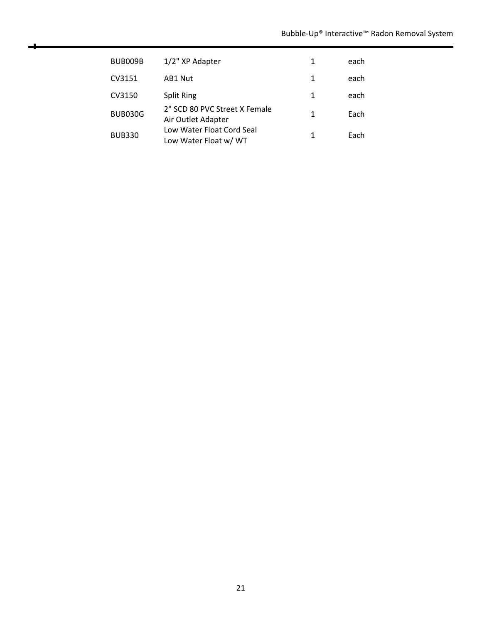| BUB009B        | 1/2" XP Adapter                                     | 1 | each |
|----------------|-----------------------------------------------------|---|------|
| CV3151         | AB1 Nut                                             | 1 | each |
| CV3150         | <b>Split Ring</b>                                   | 1 | each |
| <b>BUB030G</b> | 2" SCD 80 PVC Street X Female<br>Air Outlet Adapter | 1 | Each |
| <b>BUB330</b>  | Low Water Float Cord Seal<br>Low Water Float w/ WT  |   | Each |

 $\rightarrow$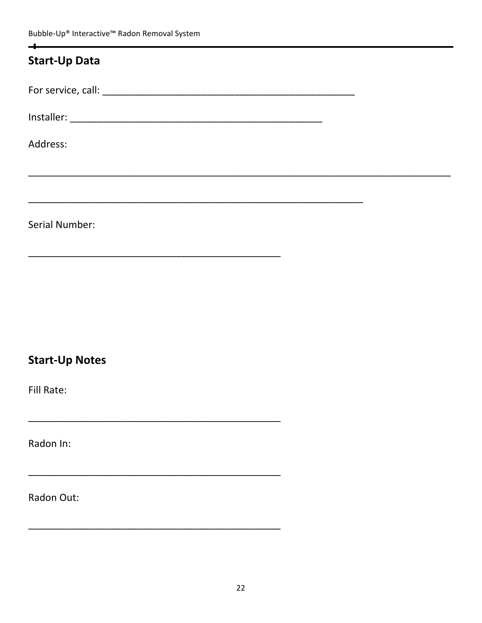# **Start-Up Data**

 $\overline{\phantom{0}}$ 

<u> 1989 - Johann John Stone, mars et al. 1989 - John Stone, mars et al. 1989 - John Stone, mars et al. 1989 - Joh</u>

<u> 1989 - Johann John Stoff, deutscher Stoffen und der Stoffen und der Stoffen und der Stoffen und der Stoffen</u>

Address:

Serial Number:

# **Start-Up Notes**

Fill Rate:

Radon In:

Radon Out: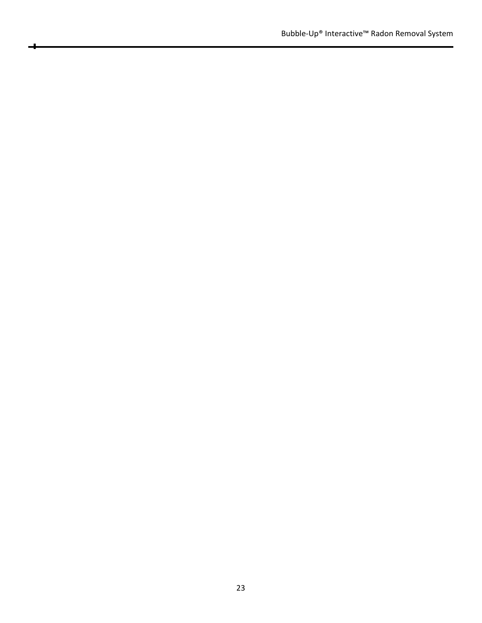$\rightarrow$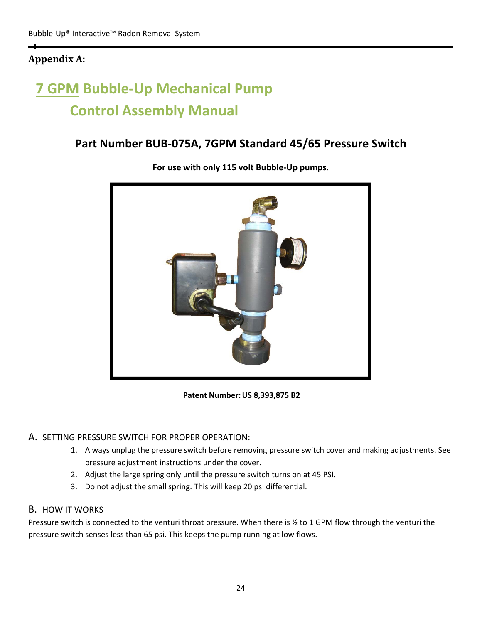# **Appendix A:**

ᆠ

# **7 GPM Bubble‐Up Mechanical Pump Control Assembly Manual**

# **Part Number BUB‐075A, 7GPM Standard 45/65 Pressure Switch**



**For use with only 115 volt Bubble‐Up pumps.**

**Patent Number:US 8,393,875 B2**

#### A. SETTING PRESSURE SWITCH FOR PROPER OPERATION:

- 1. Always unplug the pressure switch before removing pressure switch cover and making adjustments. See pressure adjustment instructions under the cover.
- 2. Adjust the large spring only until the pressure switch turns on at 45 PSI.
- 3. Do not adjust the small spring. This will keep 20 psi differential.

#### B. HOW IT WORKS

Pressure switch is connected to the venturi throat pressure. When there is  $\frac{1}{2}$  to 1 GPM flow through the venturi the pressure switch senses less than 65 psi. This keeps the pump running at low flows.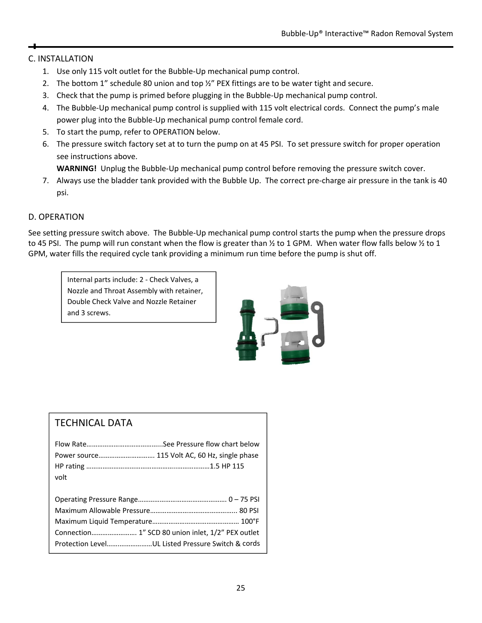#### C. INSTALLATION

- 1. Use only 115 volt outlet for the Bubble‐Up mechanical pump control.
- 2. The bottom  $1$ " schedule 80 union and top  $\frac{1}{2}$ " PEX fittings are to be water tight and secure.
- 3. Check that the pump is primed before plugging in the Bubble‐Up mechanical pump control.
- 4. The Bubble‐Up mechanical pump control is supplied with 115 volt electrical cords. Connect the pump's male power plug into the Bubble‐Up mechanical pump control female cord.
- 5. To start the pump, refer to OPERATION below.
- 6. The pressure switch factory set at to turn the pump on at 45 PSI. To set pressure switch for proper operation see instructions above.

**WARNING!** Unplug the Bubble‐Up mechanical pump control before removing the pressure switch cover.

7. Always use the bladder tank provided with the Bubble Up. The correct pre-charge air pressure in the tank is 40 psi.

#### D. OPERATION

See setting pressure switch above. The Bubble-Up mechanical pump control starts the pump when the pressure drops to 45 PSI. The pump will run constant when the flow is greater than  $\frac{1}{2}$  to 1 GPM. When water flow falls below  $\frac{1}{2}$  to 1 GPM, water fills the required cycle tank providing a minimum run time before the pump is shut off.

Internal parts include: 2 ‐ Check Valves, a Nozzle and Throat Assembly with retainer, Double Check Valve and Nozzle Retainer and 3 screws.



## TECHNICAL DATA

| Power source 115 Volt AC, 60 Hz, single phase<br>volt |  |
|-------------------------------------------------------|--|
|                                                       |  |
|                                                       |  |
|                                                       |  |
|                                                       |  |
| Protection LevelUL Listed Pressure Switch & cords     |  |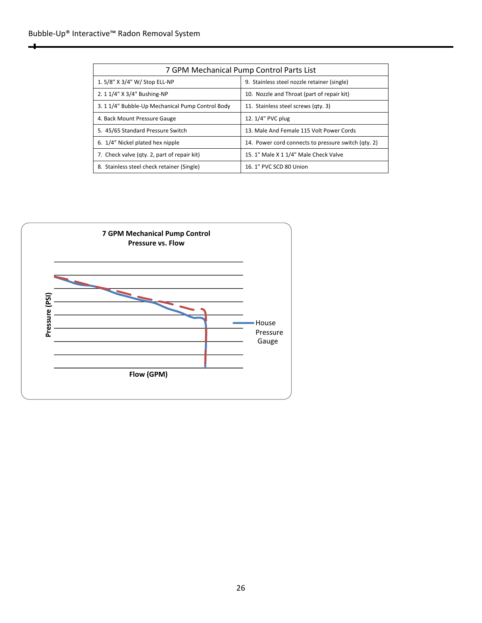$\overline{\phantom{a}}$ 

| 7 GPM Mechanical Pump Control Parts List         |                                                     |  |
|--------------------------------------------------|-----------------------------------------------------|--|
| 1.5/8" X 3/4" W/ Stop ELL-NP                     | 9. Stainless steel nozzle retainer (single)         |  |
| 2. 1 1/4" X 3/4" Bushing-NP                      | 10. Nozzle and Throat (part of repair kit)          |  |
| 3. 1 1/4" Bubble-Up Mechanical Pump Control Body | 11. Stainless steel screws (qty. 3)                 |  |
| 4. Back Mount Pressure Gauge                     | 12. 1/4" PVC plug                                   |  |
| 5. 45/65 Standard Pressure Switch                | 13. Male And Female 115 Volt Power Cords            |  |
| 6. 1/4" Nickel plated hex nipple                 | 14. Power cord connects to pressure switch (qty. 2) |  |
| 7. Check valve (qty. 2, part of repair kit)      | 15. 1" Male X 1 1/4" Male Check Valve               |  |
| 8. Stainless steel check retainer (Single)       | 16.1" PVC SCD 80 Union                              |  |

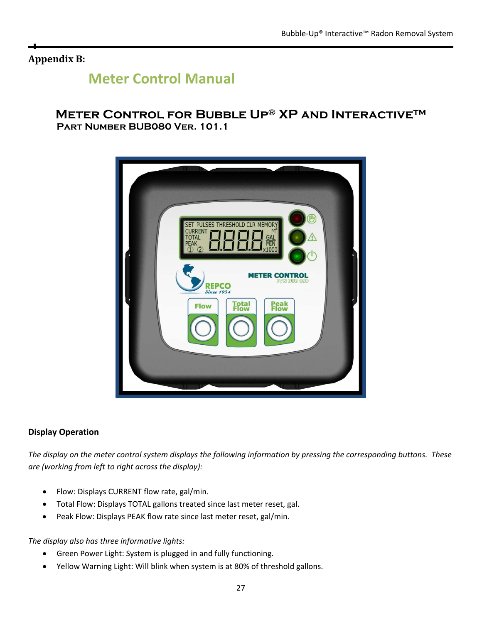## **Appendix B:**

# **Meter Control Manual**

# **Meter Control for Bubble Up® XP and Interactive™ Part Number BUB080 Ver. 101.1**



#### **Display Operation**

The display on the meter control system displays the following information by pressing the corresponding buttons. These *are (working from left to right across the display):*

- Flow: Displays CURRENT flow rate, gal/min.
- Total Flow: Displays TOTAL gallons treated since last meter reset, gal.
- Peak Flow: Displays PEAK flow rate since last meter reset, gal/min.

#### *The display also has three informative lights:*

- Green Power Light: System is plugged in and fully functioning.
- Yellow Warning Light: Will blink when system is at 80% of threshold gallons.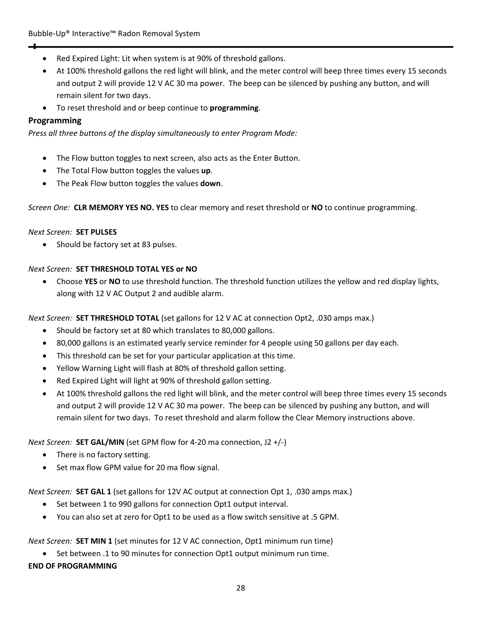- Red Expired Light: Lit when system is at 90% of threshold gallons.
- At 100% threshold gallons the red light will blink, and the meter control will beep three times every 15 seconds and output 2 will provide 12 V AC 30 ma power. The beep can be silenced by pushing any button, and will remain silent for two days.
- To reset threshold and or beep continue to **programming**.

#### **Programming**

*Press all three buttons of the display simultaneously to enter Program Mode:*

- The Flow button toggles to next screen, also acts as the Enter Button.
- The Total Flow button toggles the values **up**.
- The Peak Flow button toggles the values **down**.

*Screen One:* **CLR MEMORY YES NO. YES** to clear memory and reset threshold or **NO** to continue programming.

#### *Next Screen:* **SET PULSES**

• Should be factory set at 83 pulses.

#### *Next Screen:* **SET THRESHOLD TOTAL YES or NO**

 Choose **YES** or **NO** to use threshold function. The threshold function utilizes the yellow and red display lights, along with 12 V AC Output 2 and audible alarm.

*Next Screen:* SET THRESHOLD TOTAL (set gallons for 12 V AC at connection Opt2, .030 amps max.)

- Should be factory set at 80 which translates to 80,000 gallons.
- 80,000 gallons is an estimated yearly service reminder for 4 people using 50 gallons per day each.
- This threshold can be set for your particular application at this time.
- Yellow Warning Light will flash at 80% of threshold gallon setting.
- Red Expired Light will light at 90% of threshold gallon setting.
- At 100% threshold gallons the red light will blink, and the meter control will beep three times every 15 seconds and output 2 will provide 12 V AC 30 ma power. The beep can be silenced by pushing any button, and will remain silent for two days. To reset threshold and alarm follow the Clear Memory instructions above.

*Next Screen:* **SET GAL/MIN** (set GPM flow for 4‐20 ma connection, J2 +/‐)

- There is no factory setting.
- Set max flow GPM value for 20 ma flow signal.

*Next Screen:* **SET GAL 1** (set gallons for 12V AC output at connection Opt 1, .030 amps max.)

- Set between 1 to 990 gallons for connection Opt1 output interval.
- You can also set at zero for Opt1 to be used as a flow switch sensitive at .5 GPM.

*Next Screen:* **SET MIN 1** (set minutes for 12 V AC connection, Opt1 minimum run time)

Set between .1 to 90 minutes for connection Opt1 output minimum run time.

**END OF PROGRAMMING**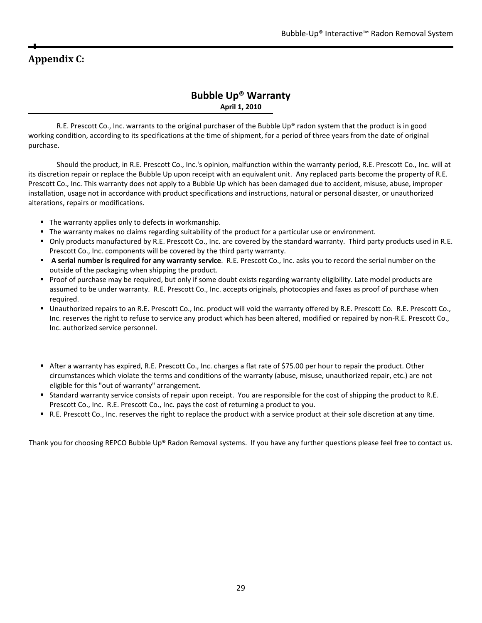# **Appendix C:**

#### **Bubble Up® Warranty April 1, 2010**

R.E. Prescott Co., Inc. warrants to the original purchaser of the Bubble Up® radon system that the product is in good working condition, according to its specifications at the time of shipment, for a period of three years from the date of original purchase.

Should the product, in R.E. Prescott Co., Inc.'s opinion, malfunction within the warranty period, R.E. Prescott Co., Inc. will at its discretion repair or replace the Bubble Up upon receipt with an equivalent unit. Any replaced parts become the property of R.E. Prescott Co., Inc. This warranty does not apply to a Bubble Up which has been damaged due to accident, misuse, abuse, improper installation, usage not in accordance with product specifications and instructions, natural or personal disaster, or unauthorized alterations, repairs or modifications.

- The warranty applies only to defects in workmanship.
- The warranty makes no claims regarding suitability of the product for a particular use or environment.
- Only products manufactured by R.E. Prescott Co., Inc. are covered by the standard warranty. Third party products used in R.E. Prescott Co., Inc. components will be covered by the third party warranty.
- **A serial number is required for any warranty service**. R.E. Prescott Co., Inc. asks you to record the serial number on the outside of the packaging when shipping the product.
- Proof of purchase may be required, but only if some doubt exists regarding warranty eligibility. Late model products are assumed to be under warranty. R.E. Prescott Co., Inc. accepts originals, photocopies and faxes as proof of purchase when required.
- Unauthorized repairs to an R.E. Prescott Co., Inc. product will void the warranty offered by R.E. Prescott Co. R.E. Prescott Co., Inc. reserves the right to refuse to service any product which has been altered, modified or repaired by non‐R.E. Prescott Co., Inc. authorized service personnel.
- After a warranty has expired, R.E. Prescott Co., Inc. charges a flat rate of \$75.00 per hour to repair the product. Other circumstances which violate the terms and conditions of the warranty (abuse, misuse, unauthorized repair, etc.) are not eligible for this "out of warranty" arrangement.
- Standard warranty service consists of repair upon receipt. You are responsible for the cost of shipping the product to R.E. Prescott Co., Inc. R.E. Prescott Co., Inc. pays the cost of returning a product to you.
- R.E. Prescott Co., Inc. reserves the right to replace the product with a service product at their sole discretion at any time.

Thank you for choosing REPCO Bubble Up® Radon Removal systems. If you have any further questions please feel free to contact us.